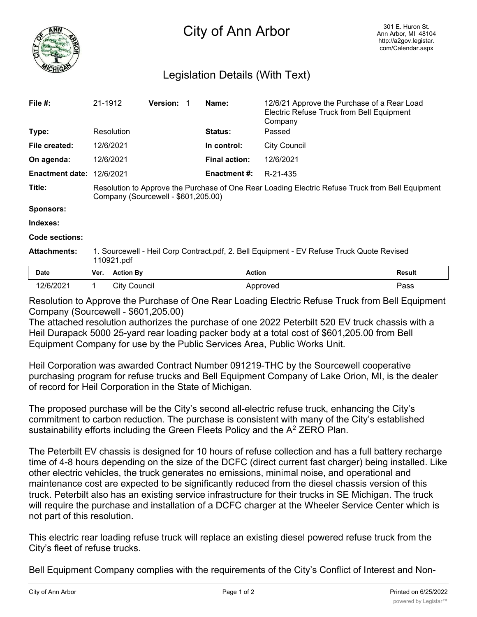

## City of Ann Arbor

## Legislation Details (With Text)

| File $#$ :             | 21-1912                                                                                                                                 |                     | <b>Version:</b> |  | Name:                | 12/6/21 Approve the Purchase of a Rear Load<br>Electric Refuse Truck from Bell Equipment<br>Company |        |
|------------------------|-----------------------------------------------------------------------------------------------------------------------------------------|---------------------|-----------------|--|----------------------|-----------------------------------------------------------------------------------------------------|--------|
| Type:                  |                                                                                                                                         | Resolution          |                 |  | <b>Status:</b>       | Passed                                                                                              |        |
| File created:          |                                                                                                                                         | 12/6/2021           |                 |  | In control:          | <b>City Council</b>                                                                                 |        |
| On agenda:             |                                                                                                                                         | 12/6/2021           |                 |  | <b>Final action:</b> | 12/6/2021                                                                                           |        |
| <b>Enactment date:</b> |                                                                                                                                         | 12/6/2021           |                 |  | <b>Enactment #:</b>  | R-21-435                                                                                            |        |
| Title:                 | Resolution to Approve the Purchase of One Rear Loading Electric Refuse Truck from Bell Equipment<br>Company (Sourcewell - \$601,205.00) |                     |                 |  |                      |                                                                                                     |        |
| <b>Sponsors:</b>       |                                                                                                                                         |                     |                 |  |                      |                                                                                                     |        |
| Indexes:               |                                                                                                                                         |                     |                 |  |                      |                                                                                                     |        |
| Code sections:         |                                                                                                                                         |                     |                 |  |                      |                                                                                                     |        |
| <b>Attachments:</b>    | 1. Sourcewell - Heil Corp Contract.pdf, 2. Bell Equipment - EV Refuse Truck Quote Revised<br>110921.pdf                                 |                     |                 |  |                      |                                                                                                     |        |
| <b>Date</b>            | Ver.                                                                                                                                    | <b>Action By</b>    |                 |  | <b>Action</b>        |                                                                                                     | Result |
| 12/6/2021              | $\mathbf 1$                                                                                                                             | <b>City Council</b> |                 |  |                      | Approved                                                                                            | Pass   |

Resolution to Approve the Purchase of One Rear Loading Electric Refuse Truck from Bell Equipment Company (Sourcewell - \$601,205.00)

The attached resolution authorizes the purchase of one 2022 Peterbilt 520 EV truck chassis with a Heil Durapack 5000 25-yard rear loading packer body at a total cost of \$601,205.00 from Bell Equipment Company for use by the Public Services Area, Public Works Unit.

Heil Corporation was awarded Contract Number 091219-THC by the Sourcewell cooperative purchasing program for refuse trucks and Bell Equipment Company of Lake Orion, MI, is the dealer of record for Heil Corporation in the State of Michigan.

The proposed purchase will be the City's second all-electric refuse truck, enhancing the City's commitment to carbon reduction. The purchase is consistent with many of the City's established sustainability efforts including the Green Fleets Policy and the  $A<sup>2</sup>$  ZERO Plan.

The Peterbilt EV chassis is designed for 10 hours of refuse collection and has a full battery recharge time of 4-8 hours depending on the size of the DCFC (direct current fast charger) being installed. Like other electric vehicles, the truck generates no emissions, minimal noise, and operational and maintenance cost are expected to be significantly reduced from the diesel chassis version of this truck. Peterbilt also has an existing service infrastructure for their trucks in SE Michigan. The truck will require the purchase and installation of a DCFC charger at the Wheeler Service Center which is not part of this resolution.

This electric rear loading refuse truck will replace an existing diesel powered refuse truck from the City's fleet of refuse trucks.

Bell Equipment Company complies with the requirements of the City's Conflict of Interest and Non-